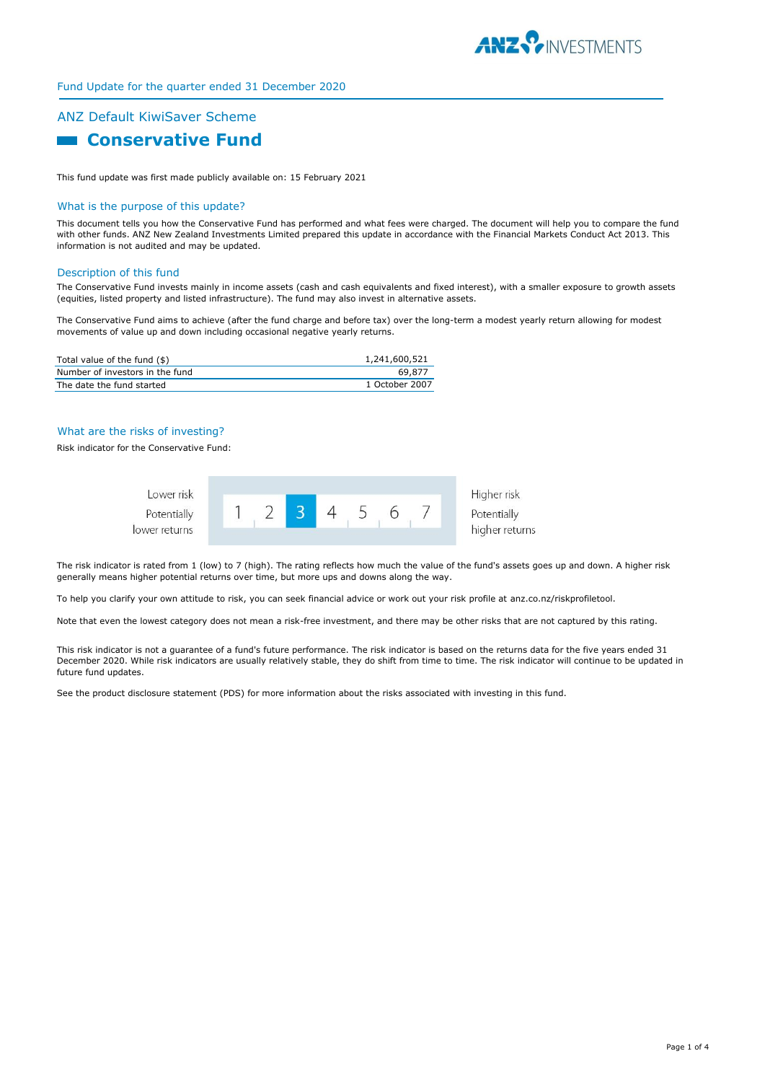

# Fund Update for the quarter ended 31 December 2020

# ANZ Default KiwiSaver Scheme

# **Entrancemental Conservative Fund**

This fund update was first made publicly available on: 15 February 2021

#### What is the purpose of this update?

This document tells you how the Conservative Fund has performed and what fees were charged. The document will help you to compare the fund with other funds. ANZ New Zealand Investments Limited prepared this update in accordance with the Financial Markets Conduct Act 2013. This information is not audited and may be updated.

#### Description of this fund

The Conservative Fund invests mainly in income assets (cash and cash equivalents and fixed interest), with a smaller exposure to growth assets (equities, listed property and listed infrastructure). The fund may also invest in alternative assets.

The Conservative Fund aims to achieve (after the fund charge and before tax) over the long-term a modest yearly return allowing for modest movements of value up and down including occasional negative yearly returns.

| Total value of the fund (\$)    | 1,241,600,521  |
|---------------------------------|----------------|
| Number of investors in the fund | 69.877         |
| The date the fund started       | 1 October 2007 |

#### What are the risks of investing?

Risk indicator for the Conservative Fund:



The risk indicator is rated from 1 (low) to 7 (high). The rating reflects how much the value of the fund's assets goes up and down. A higher risk generally means higher potential returns over time, but more ups and downs along the way.

To help you clarify your own attitude to risk, you can seek financial advice or work out your risk profile at anz.co.nz/riskprofiletool.

Note that even the lowest category does not mean a risk-free investment, and there may be other risks that are not captured by this rating.

This risk indicator is not a guarantee of a fund's future performance. The risk indicator is based on the returns data for the five years ended 31 December 2020. While risk indicators are usually relatively stable, they do shift from time to time. The risk indicator will continue to be updated in future fund updates.

See the product disclosure statement (PDS) for more information about the risks associated with investing in this fund.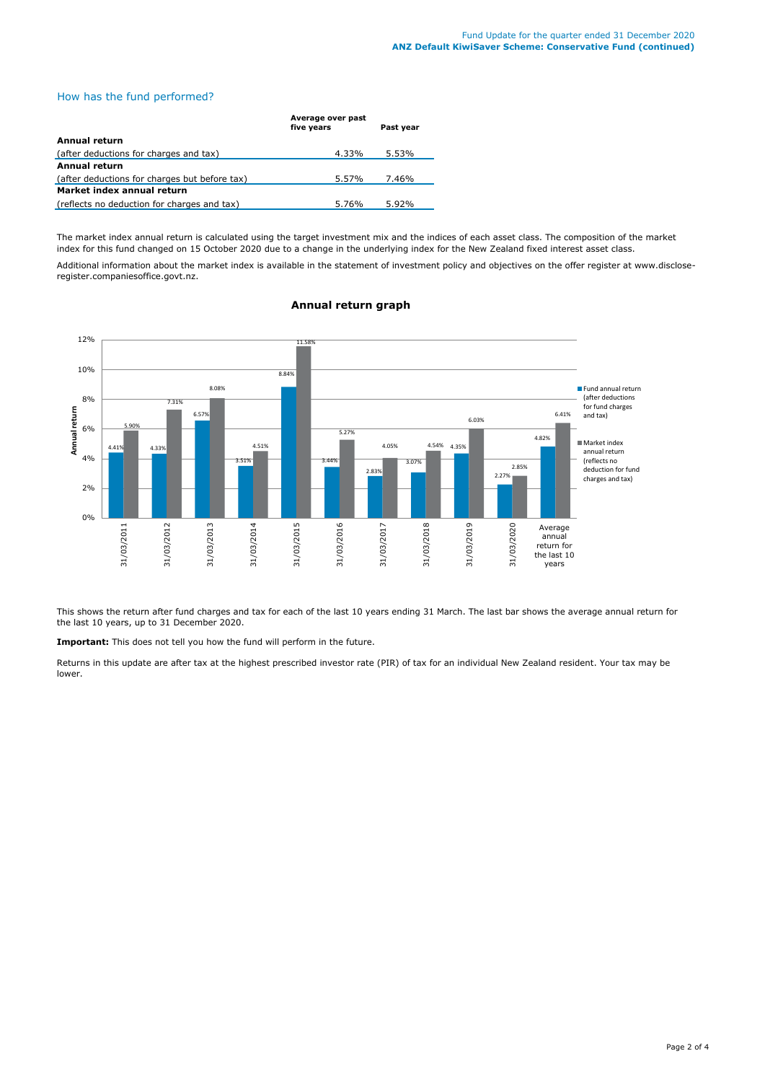## How has the fund performed?

|                                               | Average over past<br>five years | Past year |
|-----------------------------------------------|---------------------------------|-----------|
| Annual return                                 |                                 |           |
| (after deductions for charges and tax)        | 4.33%                           | 5.53%     |
| Annual return                                 |                                 |           |
| (after deductions for charges but before tax) | 5.57%                           | 7.46%     |
| Market index annual return                    |                                 |           |
| (reflects no deduction for charges and tax)   | 5.76%                           | 5.92%     |

The market index annual return is calculated using the target investment mix and the indices of each asset class. The composition of the market index for this fund changed on 15 October 2020 due to a change in the underlying index for the New Zealand fixed interest asset class.

Additional information about the market index is available in the statement of investment policy and objectives on the offer register at www.discloseregister.companiesoffice.govt.nz.



## **Annual return graph**

This shows the return after fund charges and tax for each of the last 10 years ending 31 March. The last bar shows the average annual return for the last 10 years, up to 31 December 2020.

**Important:** This does not tell you how the fund will perform in the future.

Returns in this update are after tax at the highest prescribed investor rate (PIR) of tax for an individual New Zealand resident. Your tax may be lower.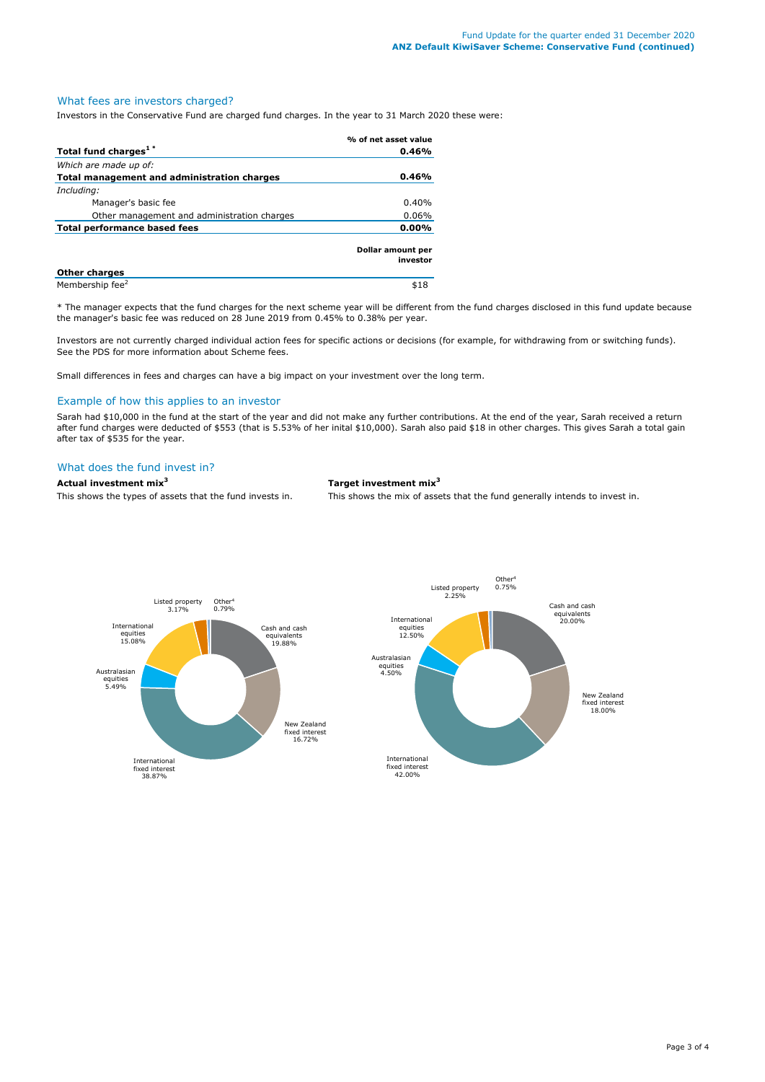# What fees are investors charged?

Investors in the Conservative Fund are charged fund charges. In the year to 31 March 2020 these were:

|                                             | % of net asset value          |  |
|---------------------------------------------|-------------------------------|--|
| Total fund charges <sup>1*</sup>            | 0.46%                         |  |
| Which are made up of:                       |                               |  |
| Total management and administration charges | 0.46%                         |  |
| Including:                                  |                               |  |
| Manager's basic fee                         | 0.40%                         |  |
| Other management and administration charges | 0.06%                         |  |
| Total performance based fees                | $0.00\%$                      |  |
|                                             | Dollar amount per<br>investor |  |
| <b>Other charges</b>                        |                               |  |
| Membership fee <sup>2</sup>                 | \$18                          |  |

\* The manager expects that the fund charges for the next scheme year will be different from the fund charges disclosed in this fund update because the manager's basic fee was reduced on 28 June 2019 from 0.45% to 0.38% per year.

Investors are not currently charged individual action fees for specific actions or decisions (for example, for withdrawing from or switching funds). See the PDS for more information about Scheme fees.

Small differences in fees and charges can have a big impact on your investment over the long term.

#### Example of how this applies to an investor

Sarah had \$10,000 in the fund at the start of the year and did not make any further contributions. At the end of the year, Sarah received a return after fund charges were deducted of \$553 (that is 5.53% of her inital \$10,000). Sarah also paid \$18 in other charges. This gives Sarah a total gain after tax of \$535 for the year.

# What does the fund invest in?

**Actual investment mix<sup>3</sup> Target investment mix<sup>3</sup>**

This shows the types of assets that the fund invests in. This shows the mix of assets that the fund generally intends to invest in.